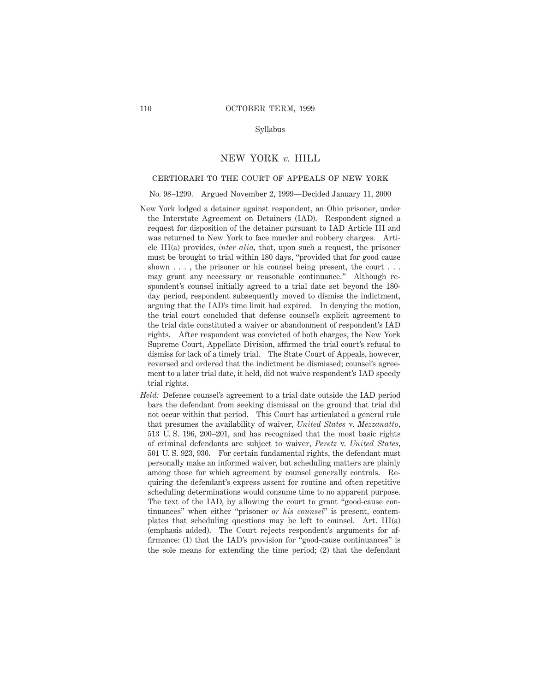#### Syllabus

## NEW YORK *v.* HILL

# certiorari to the court of appeals of new york

No. 98–1299. Argued November 2, 1999—Decided January 11, 2000

- New York lodged a detainer against respondent, an Ohio prisoner, under the Interstate Agreement on Detainers (IAD). Respondent signed a request for disposition of the detainer pursuant to IAD Article III and was returned to New York to face murder and robbery charges. Article III(a) provides, *inter alia,* that, upon such a request, the prisoner must be brought to trial within 180 days, "provided that for good cause shown  $\dots$ , the prisoner or his counsel being present, the court... may grant any necessary or reasonable continuance." Although respondent's counsel initially agreed to a trial date set beyond the 180 day period, respondent subsequently moved to dismiss the indictment, arguing that the IAD's time limit had expired. In denying the motion, the trial court concluded that defense counsel's explicit agreement to the trial date constituted a waiver or abandonment of respondent's IAD rights. After respondent was convicted of both charges, the New York Supreme Court, Appellate Division, affirmed the trial court's refusal to dismiss for lack of a timely trial. The State Court of Appeals, however, reversed and ordered that the indictment be dismissed; counsel's agreement to a later trial date, it held, did not waive respondent's IAD speedy trial rights.
- *Held:* Defense counsel's agreement to a trial date outside the IAD period bars the defendant from seeking dismissal on the ground that trial did not occur within that period. This Court has articulated a general rule that presumes the availability of waiver, *United States* v. *Mezzanatto,* 513 U. S. 196, 200–201, and has recognized that the most basic rights of criminal defendants are subject to waiver, *Peretz* v. *United States,* 501 U. S. 923, 936. For certain fundamental rights, the defendant must personally make an informed waiver, but scheduling matters are plainly among those for which agreement by counsel generally controls. Requiring the defendant's express assent for routine and often repetitive scheduling determinations would consume time to no apparent purpose. The text of the IAD, by allowing the court to grant "good-cause continuances" when either "prisoner *or his counsel*" is present, contemplates that scheduling questions may be left to counsel. Art. III(a) (emphasis added). The Court rejects respondent's arguments for affirmance: (1) that the IAD's provision for "good-cause continuances" is the sole means for extending the time period; (2) that the defendant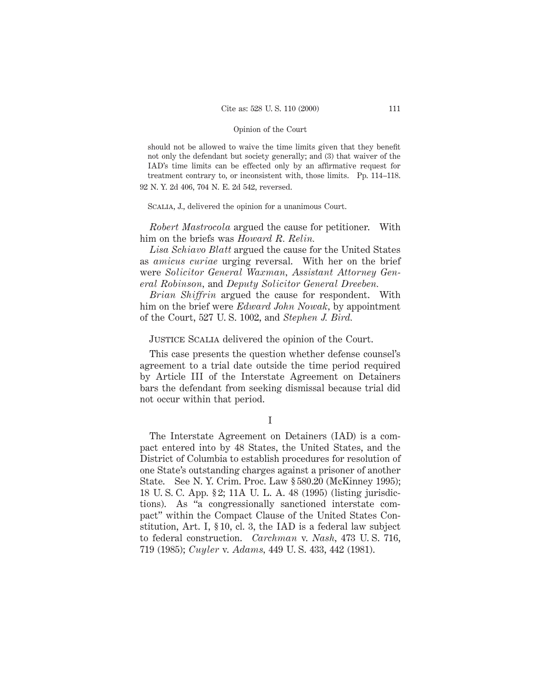should not be allowed to waive the time limits given that they benefit not only the defendant but society generally; and (3) that waiver of the IAD's time limits can be effected only by an affirmative request for treatment contrary to, or inconsistent with, those limits. Pp. 114–118.

92 N. Y. 2d 406, 704 N. E. 2d 542, reversed.

# SCALIA, J., delivered the opinion for a unanimous Court.

*Robert Mastrocola* argued the cause for petitioner. With him on the briefs was *Howard R. Relin.*

*Lisa Schiavo Blatt* argued the cause for the United States as *amicus curiae* urging reversal. With her on the brief were *Solicitor General Waxman, Assistant Attorney General Robinson,* and *Deputy Solicitor General Dreeben.*

*Brian Shiffrin* argued the cause for respondent. With him on the brief were *Edward John Nowak,* by appointment of the Court, 527 U. S. 1002, and *Stephen J. Bird.*

# Justice Scalia delivered the opinion of the Court.

This case presents the question whether defense counsel's agreement to a trial date outside the time period required by Article III of the Interstate Agreement on Detainers bars the defendant from seeking dismissal because trial did not occur within that period.

I

The Interstate Agreement on Detainers (IAD) is a compact entered into by 48 States, the United States, and the District of Columbia to establish procedures for resolution of one State's outstanding charges against a prisoner of another State. See N. Y. Crim. Proc. Law § 580.20 (McKinney 1995); 18 U. S. C. App. § 2; 11A U. L. A. 48 (1995) (listing jurisdictions). As "a congressionally sanctioned interstate compact" within the Compact Clause of the United States Constitution, Art. I, § 10, cl. 3, the IAD is a federal law subject to federal construction. *Carchman* v. *Nash,* 473 U. S. 716, 719 (1985); *Cuyler* v. *Adams,* 449 U. S. 433, 442 (1981).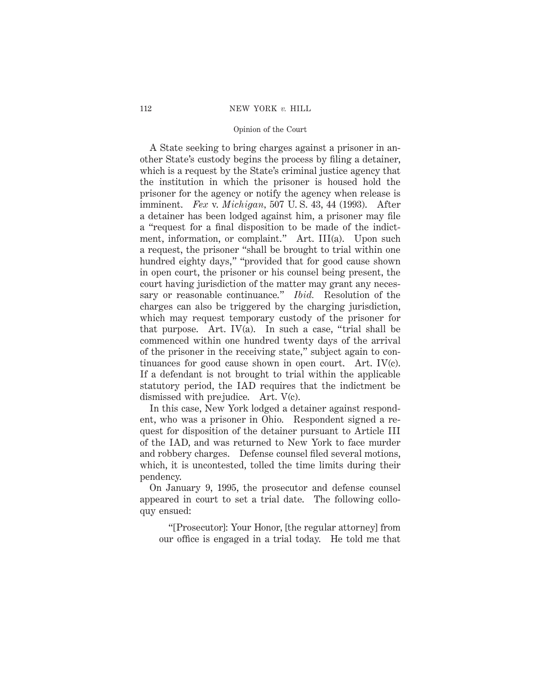#### 112 NEW YORK *v.* HILL

### Opinion of the Court

A State seeking to bring charges against a prisoner in another State's custody begins the process by filing a detainer, which is a request by the State's criminal justice agency that the institution in which the prisoner is housed hold the prisoner for the agency or notify the agency when release is imminent. *Fex* v. *Michigan,* 507 U. S. 43, 44 (1993). After a detainer has been lodged against him, a prisoner may file a "request for a final disposition to be made of the indictment, information, or complaint." Art. III(a). Upon such a request, the prisoner "shall be brought to trial within one hundred eighty days," "provided that for good cause shown in open court, the prisoner or his counsel being present, the court having jurisdiction of the matter may grant any necessary or reasonable continuance." *Ibid.* Resolution of the charges can also be triggered by the charging jurisdiction, which may request temporary custody of the prisoner for that purpose. Art. IV(a). In such a case, "trial shall be commenced within one hundred twenty days of the arrival of the prisoner in the receiving state," subject again to continuances for good cause shown in open court. Art. IV(c). If a defendant is not brought to trial within the applicable statutory period, the IAD requires that the indictment be dismissed with prejudice. Art. V(c).

In this case, New York lodged a detainer against respondent, who was a prisoner in Ohio. Respondent signed a request for disposition of the detainer pursuant to Article III of the IAD, and was returned to New York to face murder and robbery charges. Defense counsel filed several motions, which, it is uncontested, tolled the time limits during their pendency.

On January 9, 1995, the prosecutor and defense counsel appeared in court to set a trial date. The following colloquy ensued:

"[Prosecutor]: Your Honor, [the regular attorney] from our office is engaged in a trial today. He told me that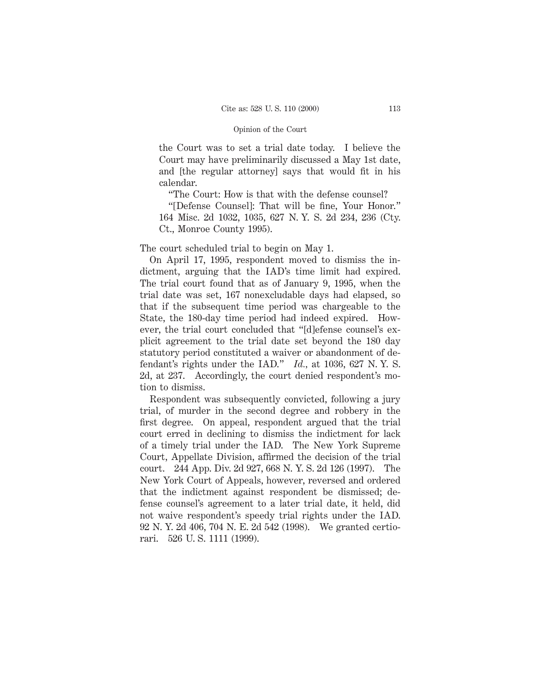the Court was to set a trial date today. I believe the Court may have preliminarily discussed a May 1st date, and [the regular attorney] says that would fit in his calendar.

"The Court: How is that with the defense counsel?

"[Defense Counsel]: That will be fine, Your Honor." 164 Misc. 2d 1032, 1035, 627 N. Y. S. 2d 234, 236 (Cty. Ct., Monroe County 1995).

The court scheduled trial to begin on May 1.

On April 17, 1995, respondent moved to dismiss the indictment, arguing that the IAD's time limit had expired. The trial court found that as of January 9, 1995, when the trial date was set, 167 nonexcludable days had elapsed, so that if the subsequent time period was chargeable to the State, the 180-day time period had indeed expired. However, the trial court concluded that "[d]efense counsel's explicit agreement to the trial date set beyond the 180 day statutory period constituted a waiver or abandonment of defendant's rights under the IAD." *Id.,* at 1036, 627 N. Y. S. 2d, at 237. Accordingly, the court denied respondent's motion to dismiss.

Respondent was subsequently convicted, following a jury trial, of murder in the second degree and robbery in the first degree. On appeal, respondent argued that the trial court erred in declining to dismiss the indictment for lack of a timely trial under the IAD. The New York Supreme Court, Appellate Division, affirmed the decision of the trial court. 244 App. Div. 2d 927, 668 N. Y. S. 2d 126 (1997). The New York Court of Appeals, however, reversed and ordered that the indictment against respondent be dismissed; defense counsel's agreement to a later trial date, it held, did not waive respondent's speedy trial rights under the IAD. 92 N. Y. 2d 406, 704 N. E. 2d 542 (1998). We granted certiorari. 526 U. S. 1111 (1999).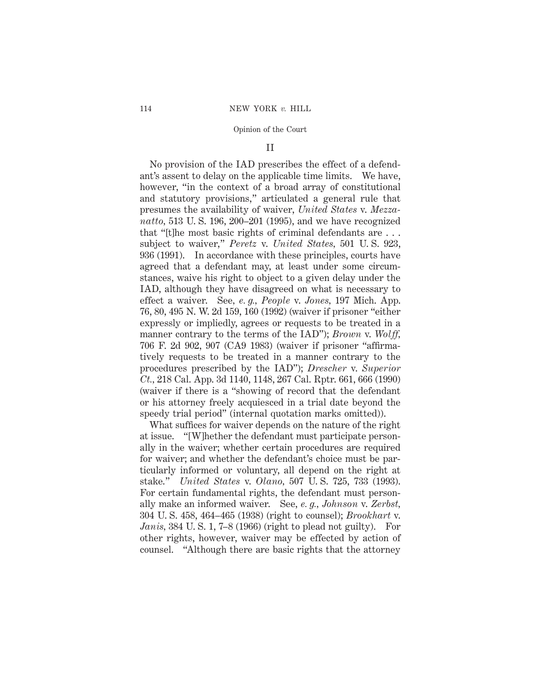## II

No provision of the IAD prescribes the effect of a defendant's assent to delay on the applicable time limits. We have, however, "in the context of a broad array of constitutional and statutory provisions," articulated a general rule that presumes the availability of waiver, *United States* v. *Mezzanatto,* 513 U. S. 196, 200–201 (1995), and we have recognized that "[t]he most basic rights of criminal defendants are . . . subject to waiver," *Peretz* v. *United States,* 501 U. S. 923, 936 (1991). In accordance with these principles, courts have agreed that a defendant may, at least under some circumstances, waive his right to object to a given delay under the IAD, although they have disagreed on what is necessary to effect a waiver. See*, e. g., People* v. *Jones,* 197 Mich. App. 76, 80, 495 N. W. 2d 159, 160 (1992) (waiver if prisoner "either expressly or impliedly, agrees or requests to be treated in a manner contrary to the terms of the IAD"); *Brown* v. *Wolff,* 706 F. 2d 902, 907 (CA9 1983) (waiver if prisoner "affirmatively requests to be treated in a manner contrary to the procedures prescribed by the IAD"); *Drescher* v. *Superior Ct.,* 218 Cal. App. 3d 1140, 1148, 267 Cal. Rptr. 661, 666 (1990) (waiver if there is a "showing of record that the defendant or his attorney freely acquiesced in a trial date beyond the speedy trial period" (internal quotation marks omitted)).

What suffices for waiver depends on the nature of the right at issue. "[W]hether the defendant must participate personally in the waiver; whether certain procedures are required for waiver; and whether the defendant's choice must be particularly informed or voluntary, all depend on the right at stake." *United States* v. *Olano,* 507 U. S. 725, 733 (1993). For certain fundamental rights, the defendant must personally make an informed waiver. See, *e. g., Johnson* v. *Zerbst,* 304 U. S. 458, 464–465 (1938) (right to counsel); *Brookhart* v. *Janis,* 384 U. S. 1, 7–8 (1966) (right to plead not guilty). For other rights, however, waiver may be effected by action of counsel. "Although there are basic rights that the attorney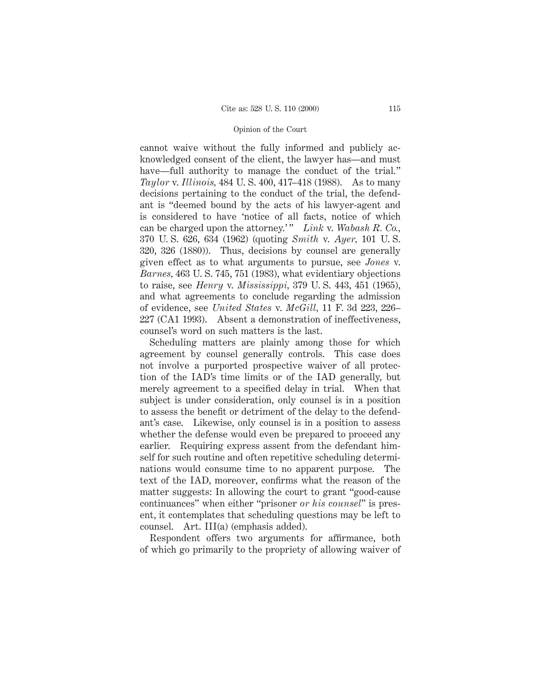cannot waive without the fully informed and publicly acknowledged consent of the client, the lawyer has—and must have—full authority to manage the conduct of the trial." *Taylor* v. *Illinois,* 484 U. S. 400, 417–418 (1988). As to many decisions pertaining to the conduct of the trial, the defendant is "deemed bound by the acts of his lawyer-agent and is considered to have 'notice of all facts, notice of which can be charged upon the attorney.' " *Link* v. *Wabash R. Co.,* 370 U. S. 626, 634 (1962) (quoting *Smith* v. *Ayer,* 101 U. S. 320, 326 (1880)). Thus, decisions by counsel are generally given effect as to what arguments to pursue, see *Jones* v. *Barnes,* 463 U. S. 745, 751 (1983), what evidentiary objections to raise, see *Henry* v. *Mississippi,* 379 U. S. 443, 451 (1965), and what agreements to conclude regarding the admission of evidence, see *United States* v. *McGill,* 11 F. 3d 223, 226– 227 (CA1 1993). Absent a demonstration of ineffectiveness, counsel's word on such matters is the last.

Scheduling matters are plainly among those for which agreement by counsel generally controls. This case does not involve a purported prospective waiver of all protection of the IAD's time limits or of the IAD generally, but merely agreement to a specified delay in trial. When that subject is under consideration, only counsel is in a position to assess the benefit or detriment of the delay to the defendant's case. Likewise, only counsel is in a position to assess whether the defense would even be prepared to proceed any earlier. Requiring express assent from the defendant himself for such routine and often repetitive scheduling determinations would consume time to no apparent purpose. The text of the IAD, moreover, confirms what the reason of the matter suggests: In allowing the court to grant "good-cause continuances" when either "prisoner *or his counsel*" is present, it contemplates that scheduling questions may be left to counsel. Art. III(a) (emphasis added).

Respondent offers two arguments for affirmance, both of which go primarily to the propriety of allowing waiver of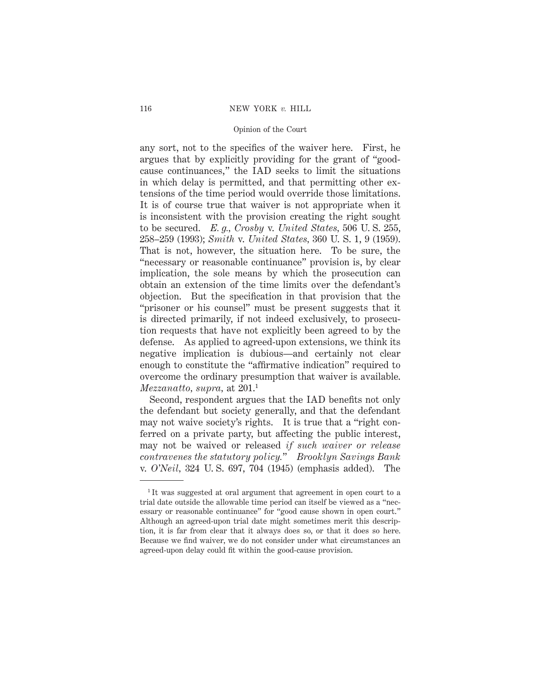any sort, not to the specifics of the waiver here. First, he argues that by explicitly providing for the grant of "goodcause continuances," the IAD seeks to limit the situations in which delay is permitted, and that permitting other extensions of the time period would override those limitations. It is of course true that waiver is not appropriate when it is inconsistent with the provision creating the right sought to be secured. *E. g., Crosby* v. *United States,* 506 U. S. 255, 258–259 (1993); *Smith* v. *United States,* 360 U. S. 1, 9 (1959). That is not, however, the situation here. To be sure, the "necessary or reasonable continuance" provision is, by clear implication, the sole means by which the prosecution can obtain an extension of the time limits over the defendant's objection. But the specification in that provision that the "prisoner or his counsel" must be present suggests that it is directed primarily, if not indeed exclusively, to prosecution requests that have not explicitly been agreed to by the defense. As applied to agreed-upon extensions, we think its negative implication is dubious—and certainly not clear enough to constitute the "affirmative indication" required to overcome the ordinary presumption that waiver is available. *Mezzanatto, supra,* at 201.1

Second, respondent argues that the IAD benefits not only the defendant but society generally, and that the defendant may not waive society's rights. It is true that a "right conferred on a private party, but affecting the public interest, may not be waived or released *if such waiver or release contravenes the statutory policy.*" *Brooklyn Savings Bank* v. *O'Neil,* 324 U. S. 697, 704 (1945) (emphasis added). The

<sup>&</sup>lt;sup>1</sup>It was suggested at oral argument that agreement in open court to a trial date outside the allowable time period can itself be viewed as a "necessary or reasonable continuance" for "good cause shown in open court." Although an agreed-upon trial date might sometimes merit this description, it is far from clear that it always does so, or that it does so here. Because we find waiver, we do not consider under what circumstances an agreed-upon delay could fit within the good-cause provision.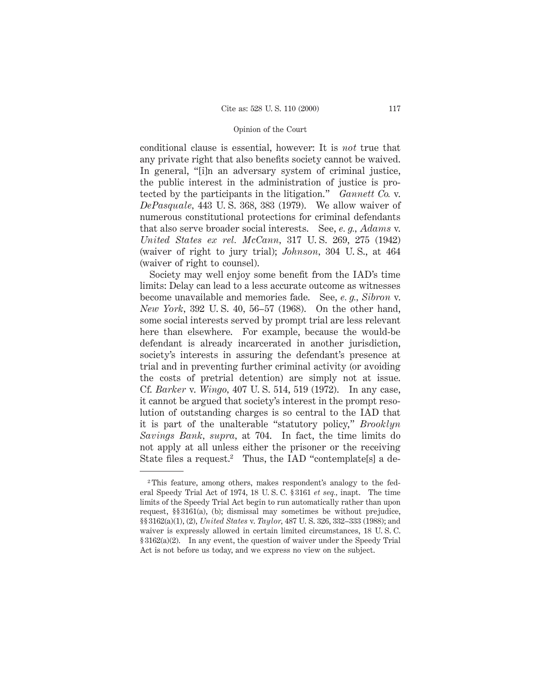conditional clause is essential, however: It is *not* true that any private right that also benefits society cannot be waived. In general, "[i]n an adversary system of criminal justice, the public interest in the administration of justice is protected by the participants in the litigation." *Gannett Co.* v. *DePasquale,* 443 U. S. 368, 383 (1979). We allow waiver of numerous constitutional protections for criminal defendants that also serve broader social interests. See, *e. g., Adams* v. *United States ex rel. McCann,* 317 U. S. 269, 275 (1942) (waiver of right to jury trial); *Johnson,* 304 U. S., at 464 (waiver of right to counsel).

Society may well enjoy some benefit from the IAD's time limits: Delay can lead to a less accurate outcome as witnesses become unavailable and memories fade. See, *e. g., Sibron* v. *New York,* 392 U. S. 40, 56–57 (1968). On the other hand, some social interests served by prompt trial are less relevant here than elsewhere. For example, because the would-be defendant is already incarcerated in another jurisdiction, society's interests in assuring the defendant's presence at trial and in preventing further criminal activity (or avoiding the costs of pretrial detention) are simply not at issue. Cf. *Barker* v. *Wingo,* 407 U. S. 514, 519 (1972). In any case, it cannot be argued that society's interest in the prompt resolution of outstanding charges is so central to the IAD that it is part of the unalterable "statutory policy," *Brooklyn Savings Bank, supra,* at 704. In fact, the time limits do not apply at all unless either the prisoner or the receiving State files a request.<sup>2</sup> Thus, the IAD "contemplate[s] a de-

<sup>2</sup> This feature, among others, makes respondent's analogy to the federal Speedy Trial Act of 1974, 18 U. S. C. § 3161 *et seq.,* inapt. The time limits of the Speedy Trial Act begin to run automatically rather than upon request,  $\S 3161(a)$ , (b); dismissal may sometimes be without prejudice, §§ 3162(a)(1), (2), *United States* v. *Taylor,* 487 U. S. 326, 332–333 (1988); and waiver is expressly allowed in certain limited circumstances, 18 U. S. C. § 3162(a)(2). In any event, the question of waiver under the Speedy Trial Act is not before us today, and we express no view on the subject.